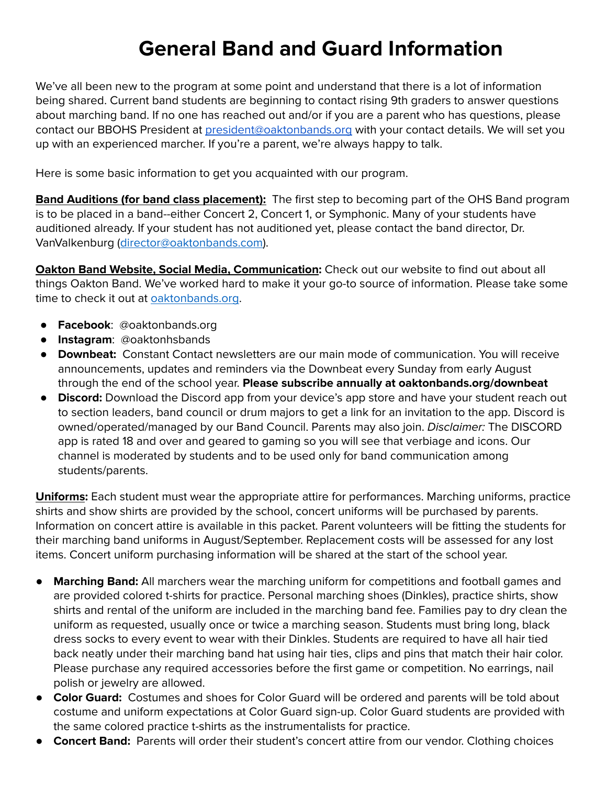## **General Band and Guard Information**

We've all been new to the program at some point and understand that there is a lot of information being shared. Current band students are beginning to contact rising 9th graders to answer questions about marching band. If no one has reached out and/or if you are a parent who has questions, please contact our BBOHS President at [president@oaktonbands.org](mailto:president@oaktonbands.org) with your contact details. We will set you up with an experienced marcher. If you're a parent, we're always happy to talk.

Here is some basic information to get you acquainted with our program.

**Band Auditions (for band class placement):** The first step to becoming part of the OHS Band program is to be placed in a band--either Concert 2, Concert 1, or Symphonic. Many of your students have auditioned already. If your student has not auditioned yet, please contact the band director, Dr. VanValkenburg ([director@oaktonbands.com\)](mailto:director@oaktonbands.com).

**Oakton Band Website, Social Media, Communication:** Check out our website to find out about all things Oakton Band. We've worked hard to make it your go-to source of information. Please take some time to check it out at [oaktonbands.org.](http://www.oaktonbands.org/)

- **Facebook**: @oaktonbands.org
- **Instagram**: @oaktonhsbands
- **Downbeat:** Constant Contact newsletters are our main mode of communication. You will receive announcements, updates and reminders via the Downbeat every Sunday from early August through the end of the school year. **Please subscribe annually at oaktonbands.org/downbeat**
- **Discord:** Download the Discord app from your device's app store and have your student reach out to section leaders, band council or drum majors to get a link for an invitation to the app. Discord is owned/operated/managed by our Band Council. Parents may also join. *Disclaimer:* The DISCORD app is rated 18 and over and geared to gaming so you will see that verbiage and icons. Our channel is moderated by students and to be used only for band communication among students/parents.

**Uniforms:** Each student must wear the appropriate attire for performances. Marching uniforms, practice shirts and show shirts are provided by the school, concert uniforms will be purchased by parents. Information on concert attire is available in this packet. Parent volunteers will be fitting the students for their marching band uniforms in August/September. Replacement costs will be assessed for any lost items. Concert uniform purchasing information will be shared at the start of the school year.

- **Marching Band:** All marchers wear the marching uniform for competitions and football games and are provided colored t-shirts for practice. Personal marching shoes (Dinkles), practice shirts, show shirts and rental of the uniform are included in the marching band fee. Families pay to dry clean the uniform as requested, usually once or twice a marching season. Students must bring long, black dress socks to every event to wear with their Dinkles. Students are required to have all hair tied back neatly under their marching band hat using hair ties, clips and pins that match their hair color. Please purchase any required accessories before the first game or competition. No earrings, nail polish or jewelry are allowed.
- **Color Guard:** Costumes and shoes for Color Guard will be ordered and parents will be told about costume and uniform expectations at Color Guard sign-up. Color Guard students are provided with the same colored practice t-shirts as the instrumentalists for practice.
- **Concert Band:** Parents will order their student's concert attire from our vendor. Clothing choices